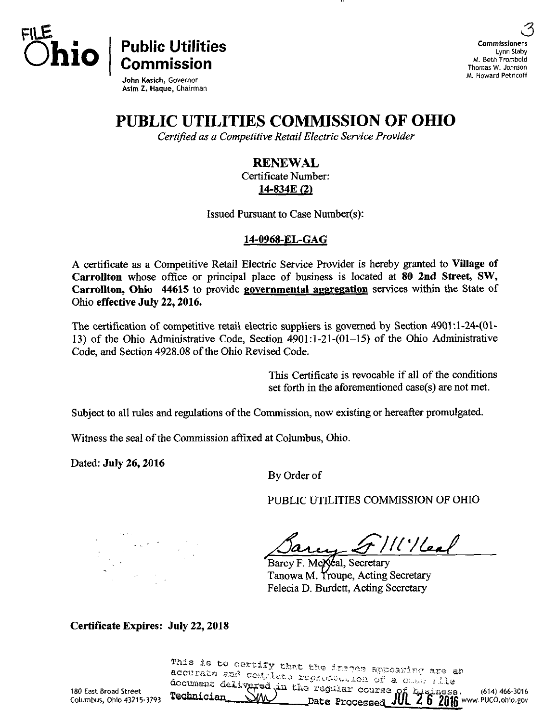

 $\overline{O}$ hio  $\overline{O}$  Public Utilities

John Kasich, Governor Asim Z. Haque, Chairman

6 Commissioners Lynn Slaby M. Beth Trombold Thomas W. Johnson M. Howard Petricoff

(614)466-3016

# PUBLIC UTILITIES COMMISSION OF OHIO

Certified as a Competitive Retail Electric Service Provider

# **RENEWAL**

Certificate Number: 14-834E (2)

Issued Pursuant to Case Number(s):

#### 14-0968-EL-GAG

A certificate as a Competitive Retail Electric Service Provider is hereby granted to Village of Carrollton whose office or principal place of business is located at 80 2nd Street, SW, Carrollton, Ohio 44615 to provide governmental aggregation services within the State of Ohio effective July 22,2016.

The certification of competitive retail electric suppliers is governed by Section 4901:l-24-(01- 13) of the Ohio Administrative Code, Section  $4901:1-21-(01-15)$  of the Ohio Administrative Code, and Section 4928.08 of the Ohio Revised Code.

> This Certificate is revocable if all of the conditions set forth in the aforementioned case(s) are not met.

Subject to all rules and regulations of the Commission, now existing or hereafter promulgated.

Witness the seal of the Commission affixed at Columbus, Ohio.

Dated: July 26,2016

By Order of

PUBLIC UTILITIES COMMISSION OF OHIO

 $^{\prime}/\prime$ leat

Barcy F. McXeal, Secretary Tanowa M. Troupe, Acting Secretary Felecia D. Burdett, Acting Secretary

Certificate Expires: July 22,2018

accurate and complete regnoduction of a chan vila This is to certify that the images appearing are an document delivered in the regular course of byginess. Date Processed JUL Z b ZU16 www.PUCO.[ohio.gov](http://ohio.gov)

180 East Broad Street Columbus, Ohio 43215-3793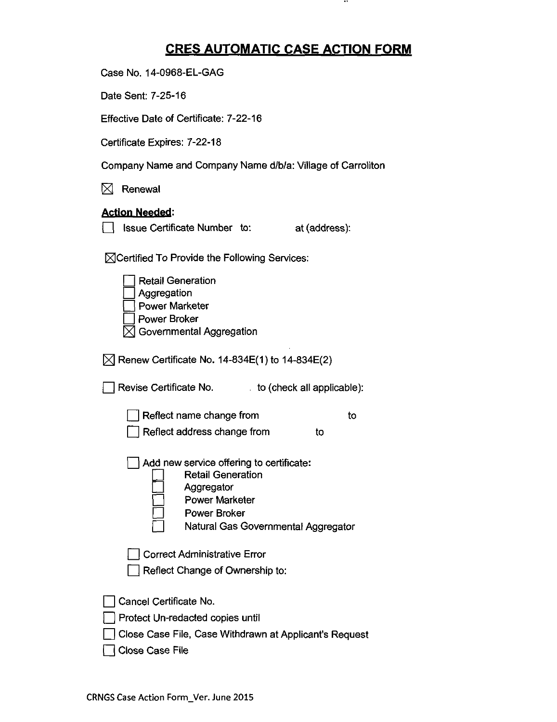## CRES AUTOMATIC CASE ACTION FORM

 $\cdots$ 

Case No. 14-0968-EL-GAG

Date Sent: 7-25-16

Effective Date of Certificate: 7-22-16

Certificate Expires: 7-22-18

Company Name and Company Name d/b/a: Village of Carrollton

 $\boxtimes$  Renewal

### Action Needed:

O Issue Certificate Number to: at (address):

 $\boxtimes$ Certified To Provide the Following Services:

| <b>Retail Generation</b><br>Aggregation<br><b>Power Marketer</b><br><b>Power Broker</b><br>Governmental Aggregation                                                       |
|---------------------------------------------------------------------------------------------------------------------------------------------------------------------------|
| $[\times]$ Renew Certificate No. 14-834E(1) to 14-834E(2)                                                                                                                 |
| Revise Certificate No.<br>to (check all applicable):                                                                                                                      |
| Reflect name change from<br>tο<br>Reflect address change from<br>to                                                                                                       |
| Add new service offering to certificate:<br><b>Retail Generation</b><br>Aggregator<br><b>Power Marketer</b><br><b>Power Broker</b><br>Natural Gas Governmental Aggregator |
| <b>Correct Administrative Error</b><br>Reflect Change of Ownership to:                                                                                                    |
| Cancel Certificate No.<br>Protect Un-redacted copies until<br>Close Case File, Case Withdrawn at Applicant's Request<br>Close Case File                                   |